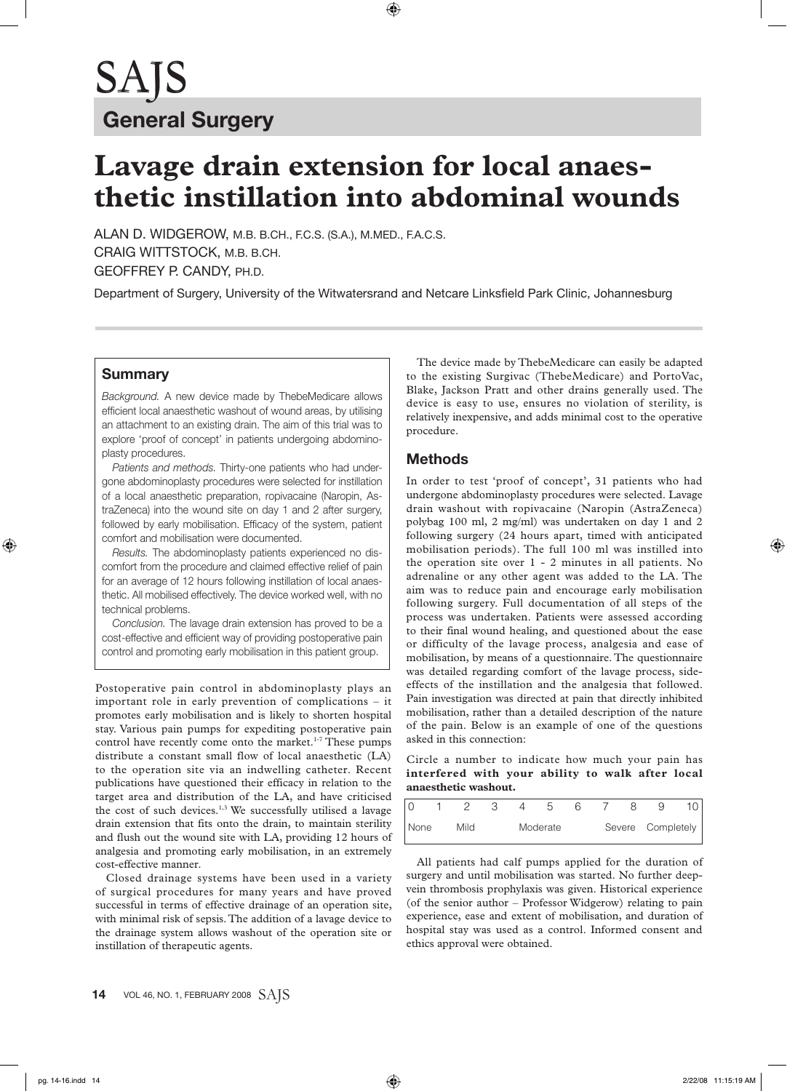# **Lavage drain extension for local anaesthetic instillation into abdominal wounds**

ALAN D. WIDGEROW, M.B. B.CH., F.C.S. (S.A.), M.MED., F.A.C.S. CRAIG WITTSTOCK, M.B. B.CH. GEOFFREY P. CANDY, PH.D.

Department of Surgery, University of the Witwatersrand and Netcare Linksfield Park Clinic, Johannesburg

### **Summary**

*Background.* A new device made by ThebeMedicare allows efficient local anaesthetic washout of wound areas, by utilising an attachment to an existing drain. The aim of this trial was to explore 'proof of concept' in patients undergoing abdominoplasty procedures.

*Patients and methods.* Thirty-one patients who had undergone abdominoplasty procedures were selected for instillation of a local anaesthetic preparation, ropivacaine (Naropin, AstraZeneca) into the wound site on day 1 and 2 after surgery, followed by early mobilisation. Efficacy of the system, patient comfort and mobilisation were documented.

*Results.* The abdominoplasty patients experienced no discomfort from the procedure and claimed effective relief of pain for an average of 12 hours following instillation of local anaesthetic. All mobilised effectively. The device worked well, with no technical problems.

*Conclusion.* The lavage drain extension has proved to be a cost-effective and efficient way of providing postoperative pain control and promoting early mobilisation in this patient group.

Postoperative pain control in abdominoplasty plays an important role in early prevention of complications – it promotes early mobilisation and is likely to shorten hospital stay. Various pain pumps for expediting postoperative pain control have recently come onto the market.<sup>1-7</sup> These pumps distribute a constant small flow of local anaesthetic (LA) to the operation site via an indwelling catheter. Recent publications have questioned their efficacy in relation to the target area and distribution of the LA, and have criticised the cost of such devices.<sup>1,3</sup> We successfully utilised a lavage drain extension that fits onto the drain, to maintain sterility and flush out the wound site with LA, providing 12 hours of analgesia and promoting early mobilisation, in an extremely cost-effective manner.

Closed drainage systems have been used in a variety of surgical procedures for many years and have proved successful in terms of effective drainage of an operation site, with minimal risk of sepsis. The addition of a lavage device to the drainage system allows washout of the operation site or instillation of therapeutic agents.

The device made by ThebeMedicare can easily be adapted to the existing Surgivac (ThebeMedicare) and PortoVac, Blake, Jackson Pratt and other drains generally used. The device is easy to use, ensures no violation of sterility, is relatively inexpensive, and adds minimal cost to the operative procedure.

### **Methods**

In order to test 'proof of concept', 31 patients who had undergone abdominoplasty procedures were selected. Lavage drain washout with ropivacaine (Naropin (AstraZeneca) polybag 100 ml, 2 mg/ml) was undertaken on day 1 and 2 following surgery (24 hours apart, timed with anticipated mobilisation periods). The full 100 ml was instilled into the operation site over 1 - 2 minutes in all patients. No adrenaline or any other agent was added to the LA. The aim was to reduce pain and encourage early mobilisation following surgery. Full documentation of all steps of the process was undertaken. Patients were assessed according to their final wound healing, and questioned about the ease or difficulty of the lavage process, analgesia and ease of mobilisation, by means of a questionnaire. The questionnaire was detailed regarding comfort of the lavage process, sideeffects of the instillation and the analgesia that followed. Pain investigation was directed at pain that directly inhibited mobilisation, rather than a detailed description of the nature of the pain. Below is an example of one of the questions asked in this connection:

Circle a number to indicate how much your pain has **interfered with your ability to walk after local anaesthetic washout.**

| None |  | Mild |  | Moderate |  |  | Severe Completely |  |
|------|--|------|--|----------|--|--|-------------------|--|

All patients had calf pumps applied for the duration of surgery and until mobilisation was started. No further deepvein thrombosis prophylaxis was given. Historical experience (of the senior author – Professor Widgerow) relating to pain experience, ease and extent of mobilisation, and duration of hospital stay was used as a control. Informed consent and ethics approval were obtained.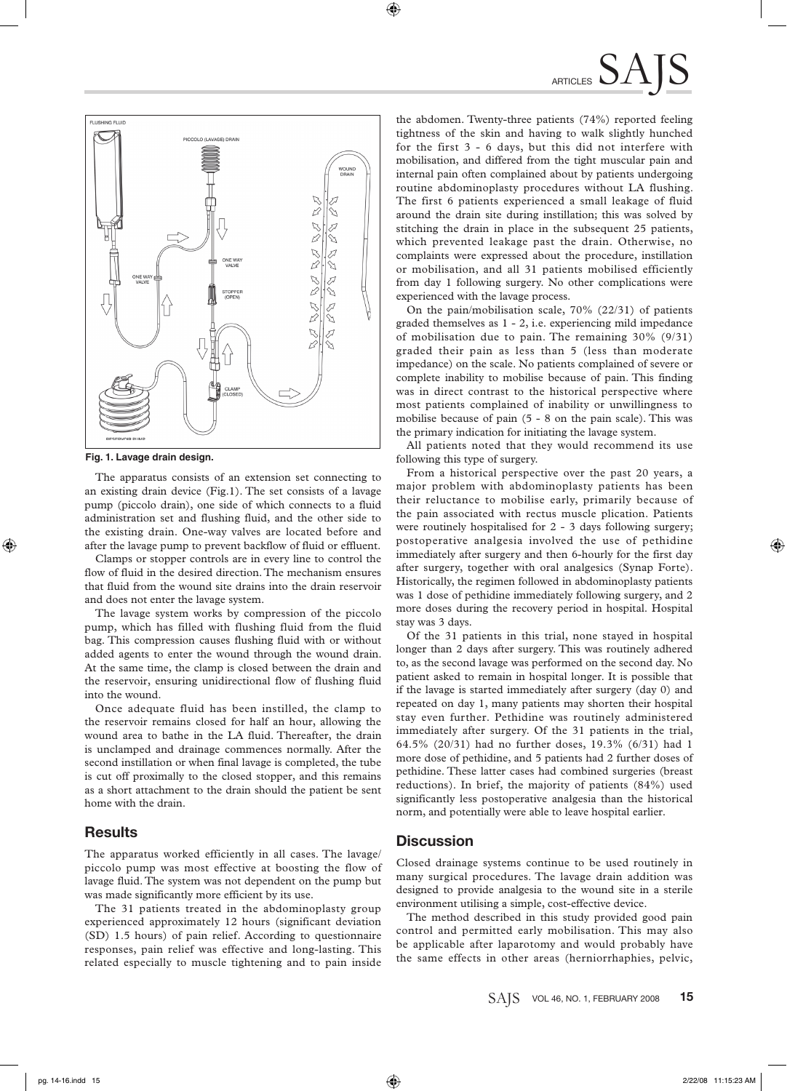

**Fig. 1. Lavage drain design.**

The apparatus consists of an extension set connecting to an existing drain device (Fig.1). The set consists of a lavage pump (piccolo drain), one side of which connects to a fluid administration set and flushing fluid, and the other side to the existing drain. One-way valves are located before and after the lavage pump to prevent backflow of fluid or effluent.

Clamps or stopper controls are in every line to control the flow of fluid in the desired direction. The mechanism ensures that fluid from the wound site drains into the drain reservoir and does not enter the lavage system.

The lavage system works by compression of the piccolo pump, which has filled with flushing fluid from the fluid bag. This compression causes flushing fluid with or without added agents to enter the wound through the wound drain. At the same time, the clamp is closed between the drain and the reservoir, ensuring unidirectional flow of flushing fluid into the wound.

Once adequate fluid has been instilled, the clamp to the reservoir remains closed for half an hour, allowing the wound area to bathe in the LA fluid. Thereafter, the drain is unclamped and drainage commences normally. After the second instillation or when final lavage is completed, the tube is cut off proximally to the closed stopper, and this remains as a short attachment to the drain should the patient be sent home with the drain.

#### **Results**

The apparatus worked efficiently in all cases. The lavage/ piccolo pump was most effective at boosting the flow of lavage fluid. The system was not dependent on the pump but was made significantly more efficient by its use.

The 31 patients treated in the abdominoplasty group experienced approximately 12 hours (significant deviation (SD) 1.5 hours) of pain relief. According to questionnaire responses, pain relief was effective and long-lasting. This related especially to muscle tightening and to pain inside

the abdomen. Twenty-three patients (74%) reported feeling tightness of the skin and having to walk slightly hunched for the first 3 - 6 days, but this did not interfere with mobilisation, and differed from the tight muscular pain and internal pain often complained about by patients undergoing routine abdominoplasty procedures without LA flushing. The first 6 patients experienced a small leakage of fluid around the drain site during instillation; this was solved by stitching the drain in place in the subsequent 25 patients, which prevented leakage past the drain. Otherwise, no complaints were expressed about the procedure, instillation or mobilisation, and all 31 patients mobilised efficiently from day 1 following surgery. No other complications were experienced with the lavage process.

On the pain/mobilisation scale, 70% (22/31) of patients graded themselves as 1 - 2, i.e. experiencing mild impedance of mobilisation due to pain. The remaining 30% (9/31) graded their pain as less than 5 (less than moderate impedance) on the scale. No patients complained of severe or complete inability to mobilise because of pain. This finding was in direct contrast to the historical perspective where most patients complained of inability or unwillingness to mobilise because of pain (5 - 8 on the pain scale). This was the primary indication for initiating the lavage system.

All patients noted that they would recommend its use following this type of surgery.

From a historical perspective over the past 20 years, a major problem with abdominoplasty patients has been their reluctance to mobilise early, primarily because of the pain associated with rectus muscle plication. Patients were routinely hospitalised for 2 - 3 days following surgery; postoperative analgesia involved the use of pethidine immediately after surgery and then 6-hourly for the first day after surgery, together with oral analgesics (Synap Forte). Historically, the regimen followed in abdominoplasty patients was 1 dose of pethidine immediately following surgery, and 2 more doses during the recovery period in hospital. Hospital stay was 3 days.

Of the 31 patients in this trial, none stayed in hospital longer than 2 days after surgery. This was routinely adhered to, as the second lavage was performed on the second day. No patient asked to remain in hospital longer. It is possible that if the lavage is started immediately after surgery (day 0) and repeated on day 1, many patients may shorten their hospital stay even further. Pethidine was routinely administered immediately after surgery. Of the 31 patients in the trial, 64.5% (20/31) had no further doses, 19.3% (6/31) had 1 more dose of pethidine, and 5 patients had 2 further doses of pethidine. These latter cases had combined surgeries (breast reductions). In brief, the majority of patients (84%) used significantly less postoperative analgesia than the historical norm, and potentially were able to leave hospital earlier.

#### **Discussion**

Closed drainage systems continue to be used routinely in many surgical procedures. The lavage drain addition was designed to provide analgesia to the wound site in a sterile environment utilising a simple, cost-effective device.

The method described in this study provided good pain control and permitted early mobilisation. This may also be applicable after laparotomy and would probably have the same effects in other areas (herniorrhaphies, pelvic,